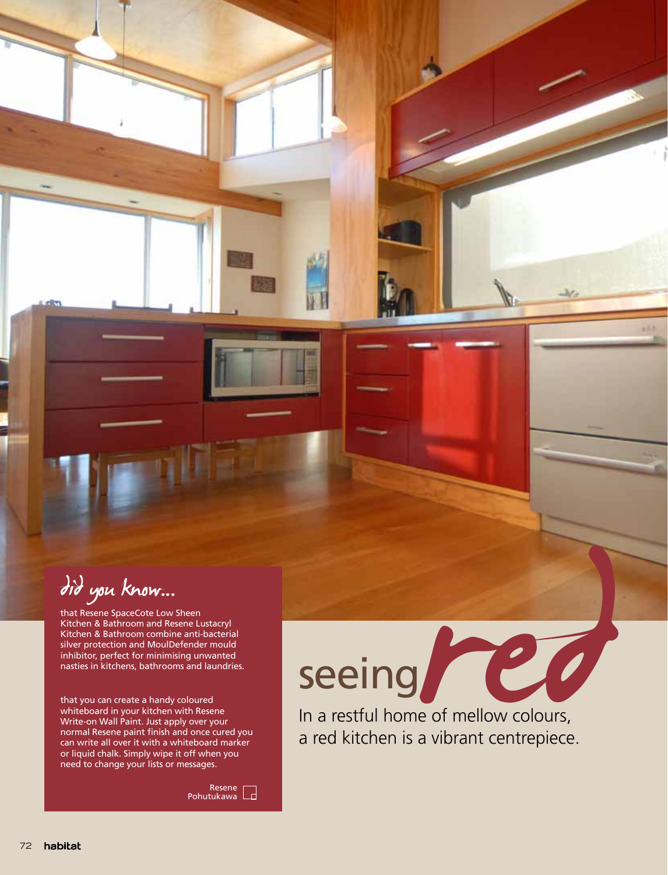did you know...…

that Resene SpaceCote Low Sheen Kitchen & Bathroom and Resene Lustacryl Kitchen & Bathroom combine anti-bacterial silver protection and MoulDefender mould inhibitor, perfect for minimising unwanted nasties in kitchens, bathrooms and laundries.

that you can create a handy coloured whiteboard in your kitchen with Resene Write-on Wall Paint. Just apply over your normal Resene paint finish and once cured you can write all over it with a whiteboard marker or liquid chalk. Simply wipe it off when you need to change your lists or messages.

Resene Pohutukawa

## seeing POO

In a restful home of mellow colours, a red kitchen is a vibrant centrepiece.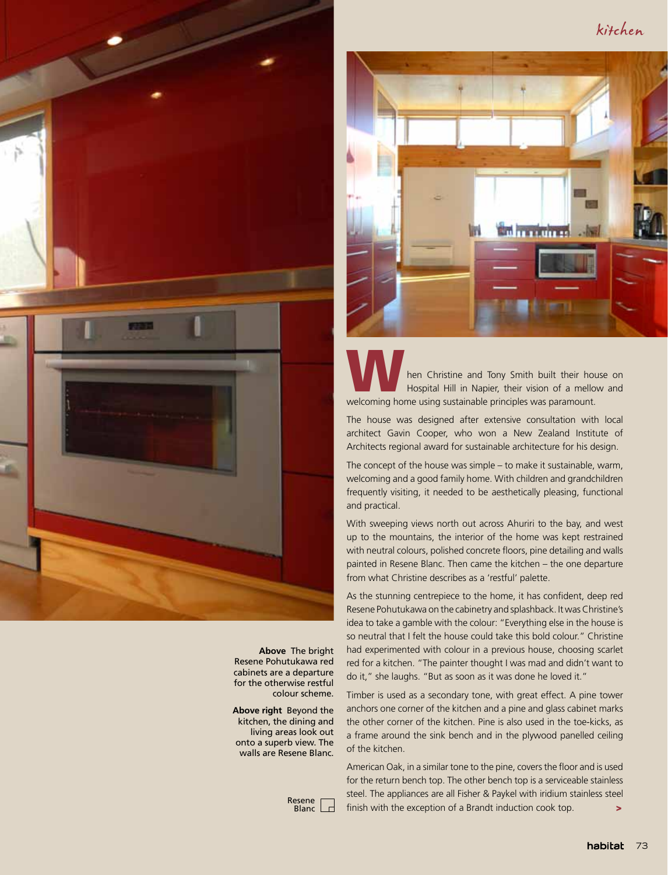kitchen



**Above** The bright Resene Pohutukawa red cabinets are a departure for the otherwise restful colour scheme.

**Above right** Beyond the kitchen, the dining and living areas look out onto a superb view. The walls are Resene Blanc.

> Resene  $\Box$ Blanc



hen Christine and Tony Smith built their house on Hospital Hill in Napier, their vision of a mellow and welcoming home using sustainable principles was paramount.

The house was designed after extensive consultation with local architect Gavin Cooper, who won a New Zealand Institute of Architects regional award for sustainable architecture for his design.

The concept of the house was simple – to make it sustainable, warm, welcoming and a good family home. With children and grandchildren frequently visiting, it needed to be aesthetically pleasing, functional and practical.

With sweeping views north out across Ahuriri to the bay, and west up to the mountains, the interior of the home was kept restrained with neutral colours, polished concrete floors, pine detailing and walls painted in Resene Blanc. Then came the kitchen – the one departure from what Christine describes as a 'restful' palette.

As the stunning centrepiece to the home, it has confident, deep red Resene Pohutukawa on the cabinetry and splashback. It was Christine's idea to take a gamble with the colour: "Everything else in the house is so neutral that I felt the house could take this bold colour." Christine had experimented with colour in a previous house, choosing scarlet red for a kitchen. "The painter thought I was mad and didn't want to do it," she laughs. "But as soon as it was done he loved it."

Timber is used as a secondary tone, with great effect. A pine tower anchors one corner of the kitchen and a pine and glass cabinet marks the other corner of the kitchen. Pine is also used in the toe-kicks, as a frame around the sink bench and in the plywood panelled ceiling of the kitchen.

American Oak, in a similar tone to the pine, covers the floor and is used for the return bench top. The other bench top is a serviceable stainless steel. The appliances are all Fisher & Paykel with iridium stainless steel finish with the exception of a Brandt induction cook top.